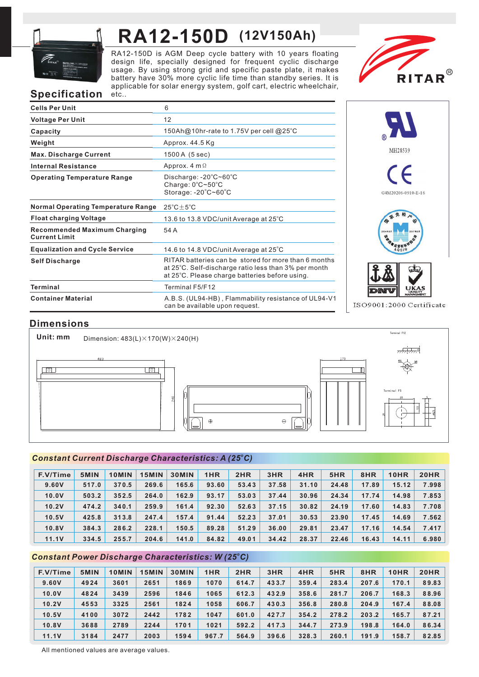

# **RA12-150D (12V150Ah)**

RA12-150D is AGM Deep cycle battery with 10 years floating design life, specially designed for frequent cyclic discharge usage. By using strong grid and specific paste plate, it makes battery have 30% more cyclic life time than standby series. It is applicable for solar energy system, golf cart, electric wheelchair, etc..



## **Specification**

| <b>Cells Per Unit</b>                                       | 6                                                                                                                                                              |
|-------------------------------------------------------------|----------------------------------------------------------------------------------------------------------------------------------------------------------------|
| <b>Voltage Per Unit</b>                                     | 12                                                                                                                                                             |
| Capacity                                                    | 150Ah@10hr-rate to 1.75V per cell @25°C                                                                                                                        |
| Weight                                                      | Approx. 44.5 Kg                                                                                                                                                |
| <b>Max. Discharge Current</b>                               | 1500 A (5 sec)                                                                                                                                                 |
| <b>Internal Resistance</b>                                  | Approx. $4 \text{ m } \Omega$                                                                                                                                  |
| <b>Operating Temperature Range</b>                          | Discharge: $-20^{\circ}$ C $\sim$ 60 $^{\circ}$ C<br>Charge: $0^{\circ}$ C $\sim$ 50 $^{\circ}$ C<br>Storage: -20°C~60°C                                       |
| <b>Normal Operating Temperature Range</b>                   | $25^{\circ}$ C $\pm$ 5 $^{\circ}$ C                                                                                                                            |
| <b>Float charging Voltage</b>                               | 13.6 to 13.8 VDC/unit Average at $25^{\circ}$ C                                                                                                                |
| <b>Recommended Maximum Charging</b><br><b>Current Limit</b> | 54 A                                                                                                                                                           |
| <b>Equalization and Cycle Service</b>                       | 14.6 to 14.8 VDC/unit Average at $25^{\circ}$ C                                                                                                                |
| <b>Self Discharge</b>                                       | RITAR batteries can be stored for more than 6 months<br>at 25°C. Self-discharge ratio less than 3% per month<br>at 25°C. Please charge batteries before using. |
| <b>Terminal</b>                                             | Terminal F5/F12                                                                                                                                                |
| <b>Container Material</b>                                   | A.B.S. (UL94-HB), Flammability resistance of UL94-V1<br>can be available upon request.                                                                         |



ISO9001:2000 Certificate

#### **Dimensions**

Terminal F12 **Unit: mm** Dimension:  $483(L) \times 170(W) \times 240(H)$  $\Box$  $\Box$ Terminal F5  $\Theta$  $\triangle$ 

#### *<sup>o</sup> Constant Current Discharge Characteristics: A (25 C)*

| F.V/Time | 5MIN  | 10MIN | 15MIN | <b>30MIN</b> | 1HR   | 2HR   | 3HR   | 4HR   | 5HR   | 8HR   | 10HR  | <b>20HR</b> |
|----------|-------|-------|-------|--------------|-------|-------|-------|-------|-------|-------|-------|-------------|
| 9.60V    | 517.0 | 370.5 | 269.6 | 165.6        | 93.60 | 53.43 | 37.58 | 31.10 | 24.48 | 17.89 | 15.12 | 7.998       |
| 10.0V    | 503.2 | 352.5 | 264.0 | 162.9        | 93.17 | 53.03 | 37.44 | 30.96 | 24.34 | 17.74 | 14.98 | 7.853       |
| 10.2V    | 474.2 | 340.1 | 259.9 | 161.4        | 92.30 | 52.63 | 37.15 | 30.82 | 24.19 | 17.60 | 14.83 | 7.708       |
| 10.5V    | 425.8 | 313.8 | 247.4 | 157.4        | 91.44 | 52.23 | 37.01 | 30.53 | 23.90 | 17.45 | 14.69 | 7.562       |
| 10.8V    | 384.3 | 286.2 | 228.1 | 150.5        | 89.28 | 51.29 | 36.00 | 29.81 | 23.47 | 17.16 | 14.54 | 7.417       |
| 11.1V    | 334.5 | 255.7 | 204.6 | 141.0        | 84.82 | 49.01 | 34.42 | 28.37 | 22.46 | 16.43 | 14.11 | 6.980       |

#### *<sup>o</sup> Constant Power Discharge Characteristics: W (25 C)*

| F.V/Time | 5MIN | 10MIN | 15MIN | <b>30MIN</b> | 1HR   | 2HR   | 3HR   | 4HR   | 5HR   | 8HR   | <b>10HR</b> | <b>20HR</b> |
|----------|------|-------|-------|--------------|-------|-------|-------|-------|-------|-------|-------------|-------------|
| 9.60V    | 4924 | 3601  | 2651  | 1869         | 1070  | 614.7 | 433.7 | 359.4 | 283.4 | 207.6 | 170.1       | 89.83       |
| 10.0V    | 4824 | 3439  | 2596  | 1846         | 1065  | 612.3 | 432.9 | 358.6 | 281.7 | 206.7 | 168.3       | 88.96       |
| 10.2V    | 4553 | 3325  | 2561  | 1824         | 1058  | 606.7 | 430.3 | 356.8 | 280.8 | 204.9 | 167.4       | 88.08       |
| 10.5V    | 4100 | 3072  | 2442  | 1782         | 1047  | 601.0 | 427.7 | 354.2 | 278.2 | 203.2 | 165.7       | 87.21       |
| 10.8V    | 3688 | 2789  | 2244  | 1701         | 1021  | 592.2 | 417.3 | 344.7 | 273.9 | 198.8 | 164.0       | 86.34       |
| 11.1V    | 3184 | 2477  | 2003  | 1594         | 967.7 | 564.9 | 396.6 | 328.3 | 260.1 | 191.9 | 158.7       | 82.85       |

All mentioned values are average values.